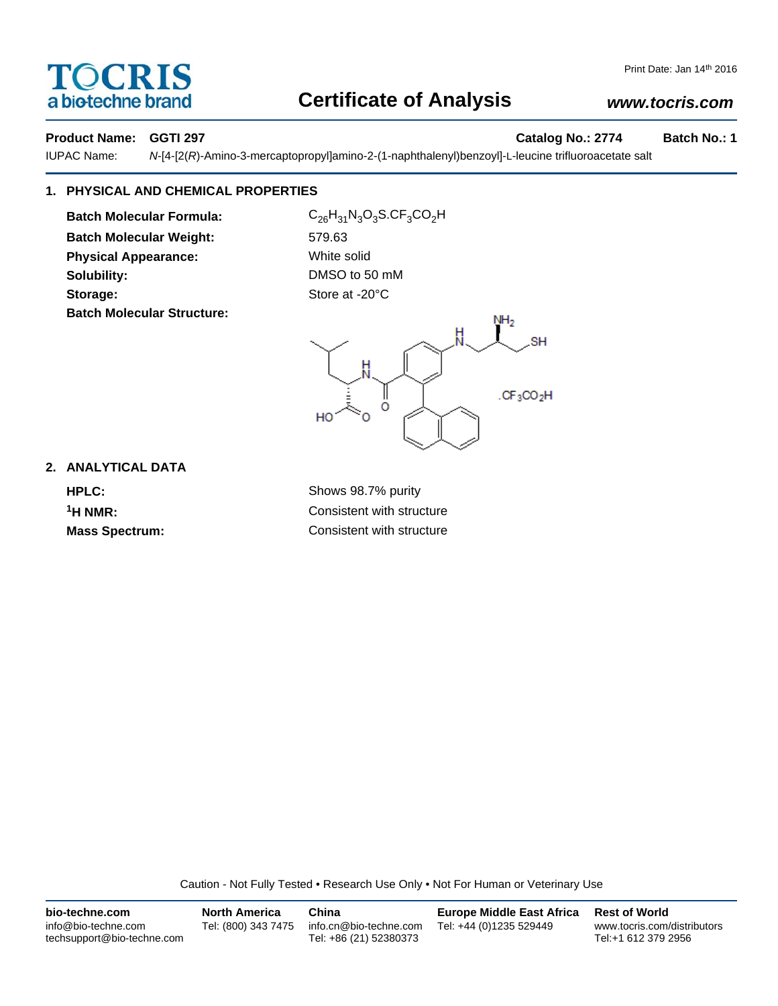# **TOCRIS** a biotechne brand

## Print Date: Jan 14th 2016

# **Certificate of Analysis**

# *www.tocris.com*

# **Product Name: GGTI 297 Catalog No.: 2774 Batch No.: 1**

IUPAC Name: *N*-[4-[2(*R*)-Amino-3-mercaptopropyl]amino-2-(1-naphthalenyl)benzoyl]-L-leucine trifluoroacetate salt

# **1. PHYSICAL AND CHEMICAL PROPERTIES**

**Batch Molecular Formula:** C<sub>26</sub>H<sub>31</sub>N<sub>3</sub>O<sub>3</sub>S.CF<sub>3</sub>CO<sub>2</sub>H **Batch Molecular Weight:** 579.63 **Physical Appearance:** White solid **Solubility:** DMSO to 50 mM Storage: Storage: Store at -20°C **Batch Molecular Structure:**



# **2. ANALYTICAL DATA HPLC:** Shows 98.7% purity

**1H NMR:** Consistent with structure **Mass Spectrum:** Consistent with structure

Caution - Not Fully Tested • Research Use Only • Not For Human or Veterinary Use

| bio-techne.com                                    | <b>North America</b> | China                                            | <b>Europe Middle East Africa</b> | <b>Rest of World</b>                               |
|---------------------------------------------------|----------------------|--------------------------------------------------|----------------------------------|----------------------------------------------------|
| info@bio-techne.com<br>techsupport@bio-techne.com | Tel: (800) 343 7475  | info.cn@bio-techne.com<br>Tel: +86 (21) 52380373 | Tel: +44 (0)1235 529449          | www.tocris.com/distributors<br>Tel:+1 612 379 2956 |